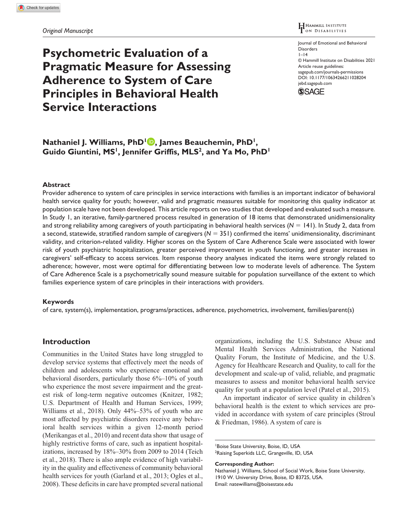*Original Manuscript*

# **Psychometric Evaluation of a Pragmatic Measure for Assessing Adherence to System of Care Principles in Behavioral Health Service Interactions**

#### HAMMILL INSTITUTE L<br>On Disabilities

Journal of Emotional and Behavioral Disorders  $1 - 14$ © Hammill Institute on Disabilities 2021 Article reuse guidelines: [sagepub.com/journals-permissions](https://us.sagepub.com/en-us/journals-permissions) https://doi.org/10.1177/10634266211028204 DOI: 10.1177/10634266211028204 [jebd.sagepub.com](https://jebd.sagepub.com) **SSAGE** 

## **Nathaniel J. Williams, PhD<sup>1</sup><sup>D</sup>, James Beauchemin, PhD<sup>1</sup>,** Guido Giuntini, MS<sup>1</sup>, Jennifer Griffis, MLS<sup>2</sup>, and Ya Mo, PhD<sup>1</sup>

## **Abstract**

Provider adherence to system of care principles in service interactions with families is an important indicator of behavioral health service quality for youth; however, valid and pragmatic measures suitable for monitoring this quality indicator at population scale have not been developed. This article reports on two studies that developed and evaluated such a measure. In Study 1, an iterative, family-partnered process resulted in generation of 18 items that demonstrated unidimensionality and strong reliability among caregivers of youth participating in behavioral health services  $(N = 141)$ . In Study 2, data from a second, statewide, stratified random sample of caregivers (*N* = 351) confirmed the items' unidimensionality, discriminant validity, and criterion-related validity. Higher scores on the System of Care Adherence Scale were associated with lower risk of youth psychiatric hospitalization, greater perceived improvement in youth functioning, and greater increases in caregivers' self-efficacy to access services. Item response theory analyses indicated the items were strongly related to adherence; however, most were optimal for differentiating between low to moderate levels of adherence. The System of Care Adherence Scale is a psychometrically sound measure suitable for population surveillance of the extent to which families experience system of care principles in their interactions with providers.

## **Keywords**

of care, system(s), implementation, programs/practices, adherence, psychometrics, involvement, families/parent(s)

## **Introduction**

Communities in the United States have long struggled to develop service systems that effectively meet the needs of children and adolescents who experience emotional and behavioral disorders, particularly those 6%–10% of youth who experience the most severe impairment and the greatest risk of long-term negative outcomes (Knitzer, 1982; U.S. Department of Health and Human Services, 1999; Williams et al., 2018). Only 44%–53% of youth who are most affected by psychiatric disorders receive any behavioral health services within a given 12-month period (Merikangas et al., 2010) and recent data show that usage of highly restrictive forms of care, such as inpatient hospitalizations, increased by 18%–30% from 2009 to 2014 (Teich et al., 2018). There is also ample evidence of high variability in the quality and effectiveness of community behavioral health services for youth (Garland et al., 2013; Ogles et al., 2008). These deficits in care have prompted several national organizations, including the U.S. Substance Abuse and Mental Health Services Administration, the National Quality Forum, the Institute of Medicine, and the U.S. Agency for Healthcare Research and Quality, to call for the development and scale-up of valid, reliable, and pragmatic measures to assess and monitor behavioral health service quality for youth at a population level (Patel et al., 2015).

An important indicator of service quality in children's behavioral health is the extent to which services are provided in accordance with system of care principles (Stroul & Friedman, 1986). A system of care is

**Corresponding Author:**

<sup>1</sup> Boise State University, Boise, ID, USA <sup>2</sup>Raising Superkids LLC, Grangeville, ID, USA

Nathaniel J. Williams, School of Social Work, Boise State University, 1910 W. University Drive, Boise, ID 83725, USA. Email: [natewilliams@boisestate.edu](mailto:natewilliams@boisestate.edu)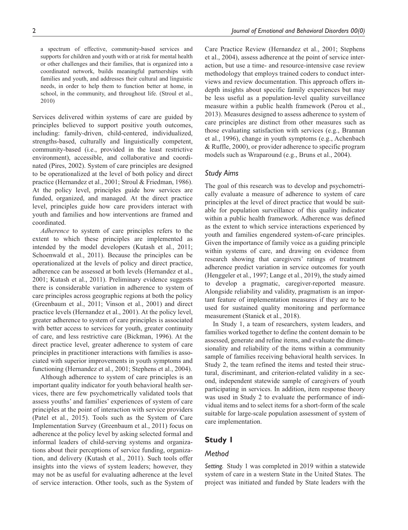a spectrum of effective, community-based services and supports for children and youth with or at risk for mental health or other challenges and their families, that is organized into a coordinated network, builds meaningful partnerships with families and youth, and addresses their cultural and linguistic needs, in order to help them to function better at home, in school, in the community, and throughout life. (Stroul et al., 2010)

Services delivered within systems of care are guided by principles believed to support positive youth outcomes, including: family-driven, child-centered, individualized, strengths-based, culturally and linguistically competent, community-based (i.e., provided in the least restrictive environment), accessible, and collaborative and coordinated (Pires, 2002). System of care principles are designed to be operationalized at the level of both policy and direct practice (Hernandez et al., 2001; Stroul & Friedman, 1986). At the policy level, principles guide how services are funded, organized, and managed. At the direct practice level, principles guide how care providers interact with youth and families and how interventions are framed and coordinated.

*Adherence* to system of care principles refers to the extent to which these principles are implemented as intended by the model developers (Kutash et al., 2011; Schoenwald et al., 2011). Because the principles can be operationalized at the levels of policy and direct practice, adherence can be assessed at both levels (Hernandez et al., 2001; Kutash et al., 2011). Preliminary evidence suggests there is considerable variation in adherence to system of care principles across geographic regions at both the policy (Greenbaum et al., 2011; Vinson et al., 2001) and direct practice levels (Hernandez et al., 2001). At the policy level, greater adherence to system of care principles is associated with better access to services for youth, greater continuity of care, and less restrictive care (Bickman, 1996). At the direct practice level, greater adherence to system of care principles in practitioner interactions with families is associated with superior improvements in youth symptoms and functioning (Hernandez et al., 2001; Stephens et al., 2004).

Although adherence to system of care principles is an important quality indicator for youth behavioral health services, there are few psychometrically validated tools that assess youths' and families' experiences of system of care principles at the point of interaction with service providers (Patel et al., 2015). Tools such as the System of Care Implementation Survey (Greenbaum et al., 2011) focus on adherence at the policy level by asking selected formal and informal leaders of child-serving systems and organizations about their perceptions of service funding, organization, and delivery (Kutash et al., 2011). Such tools offer insights into the views of system leaders; however, they may not be as useful for evaluating adherence at the level of service interaction. Other tools, such as the System of Care Practice Review (Hernandez et al., 2001; Stephens et al., 2004), assess adherence at the point of service interaction, but use a time- and resource-intensive case review methodology that employs trained coders to conduct interviews and review documentation. This approach offers indepth insights about specific family experiences but may be less useful as a population-level quality surveillance measure within a public health framework (Perou et al., 2013). Measures designed to assess adherence to system of care principles are distinct from other measures such as those evaluating satisfaction with services (e.g., Brannan et al., 1996), change in youth symptoms (e.g., Achenbach & Ruffle, 2000), or provider adherence to specific program models such as Wraparound (e.g., Bruns et al., 2004).

## *Study Aims*

The goal of this research was to develop and psychometrically evaluate a measure of adherence to system of care principles at the level of direct practice that would be suitable for population surveillance of this quality indicator within a public health framework. Adherence was defined as the extent to which service interactions experienced by youth and families engendered system-of-care principles. Given the importance of family voice as a guiding principle within systems of care, and drawing on evidence from research showing that caregivers' ratings of treatment adherence predict variation in service outcomes for youth (Henggeler et al., 1997; Lange et al., 2019), the study aimed to develop a pragmatic, caregiver-reported measure. Alongside reliability and validity, pragmatism is an important feature of implementation measures if they are to be used for sustained quality monitoring and performance measurement (Stanick et al., 2018).

In Study 1, a team of researchers, system leaders, and families worked together to define the content domain to be assessed, generate and refine items, and evaluate the dimensionality and reliability of the items within a community sample of families receiving behavioral health services. In Study 2, the team refined the items and tested their structural, discriminant, and criterion-related validity in a second, independent statewide sample of caregivers of youth participating in services. In addition, item response theory was used in Study 2 to evaluate the performance of individual items and to select items for a short-form of the scale suitable for large-scale population assessment of system of care implementation.

## **Study 1**

#### *Method*

*Setting.* Study 1 was completed in 2019 within a statewide system of care in a western State in the United States. The project was initiated and funded by State leaders with the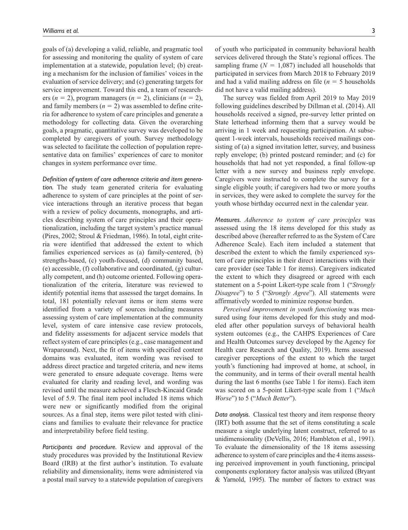goals of (a) developing a valid, reliable, and pragmatic tool for assessing and monitoring the quality of system of care implementation at a statewide, population level; (b) creating a mechanism for the inclusion of families' voices in the evaluation of service delivery; and (c) generating targets for service improvement. Toward this end, a team of researchers ( $n = 2$ ), program managers ( $n = 2$ ), clinicians ( $n = 2$ ), and family members  $(n = 2)$  was assembled to define criteria for adherence to system of care principles and generate a methodology for collecting data. Given the overarching goals, a pragmatic, quantitative survey was developed to be completed by caregivers of youth. Survey methodology was selected to facilitate the collection of population representative data on families' experiences of care to monitor changes in system performance over time.

*Definition of system of care adherence criteria and item generation.* The study team generated criteria for evaluating adherence to system of care principles at the point of service interactions through an iterative process that began with a review of policy documents, monographs, and articles describing system of care principles and their operationalization, including the target system's practice manual (Pires, 2002; Stroul & Friedman, 1986). In total, eight criteria were identified that addressed the extent to which families experienced services as (a) family-centered, (b) strengths-based, (c) youth-focused, (d) community based, (e) accessible, (f) collaborative and coordinated, (g) culturally competent, and (h) outcome oriented. Following operationalization of the criteria, literature was reviewed to identify potential items that assessed the target domains. In total, 181 potentially relevant items or item stems were identified from a variety of sources including measures assessing system of care implementation at the community level, system of care intensive case review protocols, and fidelity assessments for adjacent service models that reflect system of care principles (e.g., case management and Wraparound). Next, the fit of items with specified content domains was evaluated, item wording was revised to address direct practice and targeted criteria, and new items were generated to ensure adequate coverage. Items were evaluated for clarity and reading level, and wording was revised until the measure achieved a Flesch-Kincaid Grade level of 5.9. The final item pool included 18 items which were new or significantly modified from the original sources. As a final step, items were pilot tested with clinicians and families to evaluate their relevance for practice and interpretability before field testing.

*Participants and procedure.* Review and approval of the study procedures was provided by the Institutional Review Board (IRB) at the first author's institution. To evaluate reliability and dimensionality, items were administered via a postal mail survey to a statewide population of caregivers

of youth who participated in community behavioral health services delivered through the State's regional offices. The sampling frame  $(N = 1,087)$  included all households that participated in services from March 2018 to February 2019 and had a valid mailing address on file  $(n = 5)$  households did not have a valid mailing address).

The survey was fielded from April 2019 to May 2019 following guidelines described by Dillman et al. (2014). All households received a signed, pre-survey letter printed on State letterhead informing them that a survey would be arriving in 1 week and requesting participation. At subsequent 1-week intervals, households received mailings consisting of (a) a signed invitation letter, survey, and business reply envelope; (b) printed postcard reminder; and (c) for households that had not yet responded, a final follow-up letter with a new survey and business reply envelope. Caregivers were instructed to complete the survey for a single eligible youth; if caregivers had two or more youths in services, they were asked to complete the survey for the youth whose birthday occurred next in the calendar year.

*Measures. Adherence to system of care principles* was assessed using the 18 items developed for this study as described above (hereafter referred to as the System of Care Adherence Scale). Each item included a statement that described the extent to which the family experienced system of care principles in their direct interactions with their care provider (see Table 1 for items). Caregivers indicated the extent to which they disagreed or agreed with each statement on a 5-point Likert-type scale from 1 ("*Strongly Disagree*") to 5 ("*Strongly Agree*"). All statements were affirmatively worded to minimize response burden.

*Perceived improvement in youth functioning* was measured using four items developed for this study and modeled after other population surveys of behavioral health system outcomes (e.g., the CAHPS Experiences of Care and Health Outcomes survey developed by the Agency for Health care Research and Quality, 2019). Items assessed caregiver perceptions of the extent to which the target youth's functioning had improved at home, at school, in the community, and in terms of their overall mental health during the last 6 months (see Table 1 for items). Each item was scored on a 5-point Likert-type scale from 1 ("*Much Worse*") to 5 ("*Much Better*").

*Data analysis.* Classical test theory and item response theory (IRT) both assume that the set of items constituting a scale measure a single underlying latent construct, referred to as unidimensionality (DeVellis, 2016; Hambleton et al., 1991). To evaluate the dimensionality of the 18 items assessing adherence to system of care principles and the 4 items assessing perceived improvement in youth functioning, principal components exploratory factor analysis was utilized (Bryant & Yarnold, 1995). The number of factors to extract was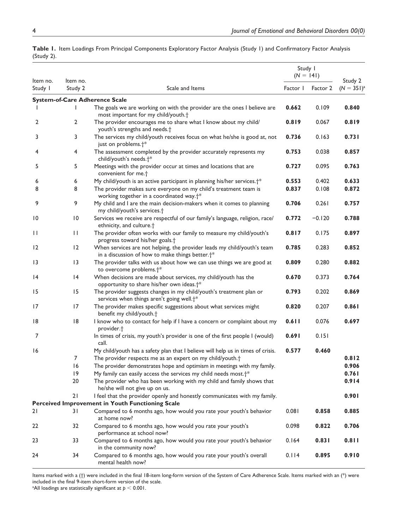|                     |                     |                                                                                                                                        | Study I<br>$(N = 141)$ |          | Study 2<br>$(N = 351)^{3}$ |
|---------------------|---------------------|----------------------------------------------------------------------------------------------------------------------------------------|------------------------|----------|----------------------------|
| Item no.<br>Study I | Item no.<br>Study 2 | Scale and Items                                                                                                                        |                        | Factor 2 |                            |
|                     |                     | <b>System-of-Care Adherence Scale</b>                                                                                                  |                        |          |                            |
|                     |                     | The goals we are working on with the provider are the ones I believe are<br>most important for my child/youth. <sup>+</sup>            | 0.662                  | 0.109    | 0.840                      |
| 2                   | 2                   | The provider encourages me to share what I know about my child/<br>youth's strengths and needs. <sup>+</sup>                           | 0.819                  | 0.067    | 0.819                      |
| 3                   | 3                   | The services my child/youth receives focus on what he/she is good at, not<br>just on problems. <sup>+*</sup>                           | 0.736                  | 0.163    | 0.731                      |
| 4                   | 4                   | The assessment completed by the provider accurately represents my<br>child/youth's needs. <sup>+*</sup>                                | 0.753                  | 0.038    | 0.857                      |
| 5                   | 5                   | Meetings with the provider occur at times and locations that are<br>convenient for me. <sup>+</sup>                                    | 0.727                  | 0.095    | 0.763                      |
| 6                   | 6                   | My child/youth is an active participant in planning his/her services. <sup>†*</sup>                                                    | 0.553                  | 0.402    | 0.633                      |
| 8                   | 8                   | The provider makes sure everyone on my child's treatment team is<br>working together in a coordinated way. <sup>†*</sup>               | 0.837                  | 0.108    | 0.872                      |
| 9                   | 9                   | My child and I are the main decision-makers when it comes to planning<br>my child/youth's services. <sup>+</sup>                       | 0.706                  | 0.261    | 0.757                      |
| 10                  | $\overline{10}$     | Services we receive are respectful of our family's language, religion, race/<br>ethnicity, and culture. <sup>+</sup>                   | 0.772                  | $-0.120$ | 0.788                      |
| П                   | $\mathbf{H}$        | The provider often works with our family to measure my child/youth's<br>progress toward his/her goals. <sup>+</sup>                    | 0.817                  | 0.175    | 0.897                      |
| 12                  | 12                  | When services are not helping, the provider leads my child/youth's team<br>in a discussion of how to make things better. <sup>†*</sup> | 0.785                  | 0.283    | 0.852                      |
| 13                  | 3                   | The provider talks with us about how we can use things we are good at<br>to overcome problems. <sup>+*</sup>                           | 0.809                  | 0.280    | 0.882                      |
| 4                   | 4                   | When decisions are made about services, my child/youth has the<br>opportunity to share his/her own ideas. <sup>+*</sup>                | 0.670                  | 0.373    | 0.764                      |
| 15                  | 15                  | The provider suggests changes in my child/youth's treatment plan or<br>services when things aren't going well. <sup>+*</sup>           | 0.793                  | 0.202    | 0.869                      |
| 17                  | 17                  | The provider makes specific suggestions about what services might<br>benefit my child/youth. <sup>+</sup>                              | 0.820                  | 0.207    | 0.861                      |
| 18                  | 8                   | I know who to contact for help if I have a concern or complaint about my<br>provider. <sup>+</sup>                                     | 0.611                  | 0.076    | 0.697                      |
| $\overline{7}$      |                     | In times of crisis, my youth's provider is one of the first people I (would)<br>call.                                                  | 0.691                  | 0.151    |                            |
| 16                  |                     | My child/youth has a safety plan that I believe will help us in times of crisis.                                                       | 0.577                  | 0.460    |                            |
|                     | 7                   | The provider respects me as an expert on my child/youth. <sup>+</sup>                                                                  |                        |          | 0.812                      |
|                     | 16                  | The provider demonstrates hope and optimism in meetings with my family.                                                                |                        |          | 0.906                      |
|                     | 9                   | My family can easily access the services my child needs most. <sup>+*</sup>                                                            |                        |          | 0.761                      |
|                     | 20                  | The provider who has been working with my child and family shows that<br>he/she will not give up on us.                                |                        |          | 0.914                      |
|                     | 21                  | I feel that the provider openly and honestly communicates with my family.                                                              |                        |          | 0.901                      |
|                     |                     | Perceived Improvement in Youth Functioning Scale                                                                                       |                        |          |                            |
| 2١                  | 31                  | Compared to 6 months ago, how would you rate your youth's behavior<br>at home now?                                                     | 0.081                  | 0.858    | 0.885                      |
| 22                  | 32                  | Compared to 6 months ago, how would you rate your youth's<br>performance at school now?                                                | 0.098                  | 0.822    | 0.706                      |
| 23                  | 33                  | Compared to 6 months ago, how would you rate your youth's behavior<br>in the community now?                                            | 0.164                  | 0.831    | 0.811                      |
| 24                  | 34                  | Compared to 6 months ago, how would you rate your youth's overall<br>mental health now?                                                | 0.114                  | 0.895    | 0.910                      |

**Table 1.** Item Loadings From Principal Components Exploratory Factor Analysis (Study 1) and Confirmatory Factor Analysis (Study 2).

Items marked with a (†) were included in the final 18-item long-form version of the System of Care Adherence Scale. Items marked with an (\*) were included in the final 9-item short-form version of the scale.

<sup>a</sup>All loadings are statistically significant at  $p < 0.001$ .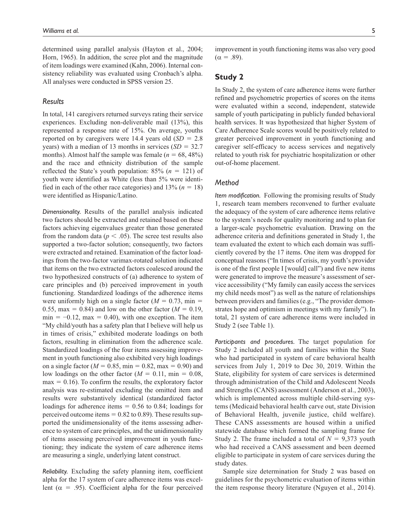determined using parallel analysis (Hayton et al., 2004; Horn, 1965). In addition, the scree plot and the magnitude of item loadings were examined (Kahn, 2006). Internal consistency reliability was evaluated using Cronbach's alpha. All analyses were conducted in SPSS version 25.

## *Results*

In total, 141 caregivers returned surveys rating their service experiences. Excluding non-deliverable mail (13%), this represented a response rate of 15%. On average, youths reported on by caregivers were 14.4 years old (*SD* = 2.8 years) with a median of 13 months in services (*SD* = 32.7 months). Almost half the sample was female  $(n = 68, 48\%)$ and the race and ethnicity distribution of the sample reflected the State's youth population: 85% (*n* = 121) of youth were identified as White (less than 5% were identified in each of the other race categories) and  $13\%$  ( $n = 18$ ) were identified as Hispanic/Latino.

*Dimensionality.* Results of the parallel analysis indicated two factors should be extracted and retained based on these factors achieving eigenvalues greater than those generated from the random data ( $p < .05$ ). The scree test results also supported a two-factor solution; consequently, two factors were extracted and retained. Examination of the factor loadings from the two-factor varimax-rotated solution indicated that items on the two extracted factors coalesced around the two hypothesized constructs of (a) adherence to system of care principles and (b) perceived improvement in youth functioning. Standardized loadings of the adherence items were uniformly high on a single factor  $(M = 0.73, \text{min} =$ 0.55, max = 0.84) and low on the other factor  $(M = 0.19,$  $min = -0.12$ ,  $max = 0.40$ , with one exception. The item "My child/youth has a safety plan that I believe will help us in times of crisis," exhibited moderate loadings on both factors, resulting in elimination from the adherence scale. Standardized loadings of the four items assessing improvement in youth functioning also exhibited very high loadings on a single factor ( $M = 0.85$ , min = 0.82, max = 0.90) and low loadings on the other factor  $(M = 0.11, \text{min} = 0.08,$  $max = 0.16$ . To confirm the results, the exploratory factor analysis was re-estimated excluding the omitted item and results were substantively identical (standardized factor loadings for adherence items  $= 0.56$  to 0.84; loadings for perceived outcome items  $= 0.82$  to 0.89). These results supported the unidimensionality of the items assessing adherence to system of care principles, and the unidimensionality of items assessing perceived improvement in youth functioning; they indicate the system of care adherence items are measuring a single, underlying latent construct.

*Reliability.* Excluding the safety planning item, coefficient alpha for the 17 system of care adherence items was excellent ( $\alpha$  = .95). Coefficient alpha for the four perceived improvement in youth functioning items was also very good  $(\alpha = .89)$ .

## **Study 2**

In Study 2, the system of care adherence items were further refined and psychometric properties of scores on the items were evaluated within a second, independent, statewide sample of youth participating in publicly funded behavioral health services. It was hypothesized that higher System of Care Adherence Scale scores would be positively related to greater perceived improvement in youth functioning and caregiver self-efficacy to access services and negatively related to youth risk for psychiatric hospitalization or other out-of-home placement.

## *Method*

*Item modification.* Following the promising results of Study 1, research team members reconvened to further evaluate the adequacy of the system of care adherence items relative to the system's needs for quality monitoring and to plan for a larger-scale psychometric evaluation. Drawing on the adherence criteria and definitions generated in Study 1, the team evaluated the extent to which each domain was sufficiently covered by the 17 items. One item was dropped for conceptual reasons ("In times of crisis, my youth's provider is one of the first people I [would] call") and five new items were generated to improve the measure's assessment of service accessibility ("My family can easily access the services my child needs most") as well as the nature of relationships between providers and families (e.g., "The provider demonstrates hope and optimism in meetings with my family"). In total, 21 system of care adherence items were included in Study 2 (see Table 1).

*Participants and procedures.* The target population for Study 2 included all youth and families within the State who had participated in system of care behavioral health services from July 1, 2019 to Dec 30, 2019. Within the State, eligibility for system of care services is determined through administration of the Child and Adolescent Needs and Strengths (CANS) assessment (Anderson et al., 2003), which is implemented across multiple child-serving systems (Medicaid behavioral health carve out, state Division of Behavioral Health, juvenile justice, child welfare). These CANS assessments are housed within a unified statewide database which formed the sampling frame for Study 2. The frame included a total of *N* = 9,373 youth who had received a CANS assessment and been deemed eligible to participate in system of care services during the study dates.

Sample size determination for Study 2 was based on guidelines for the psychometric evaluation of items within the item response theory literature (Nguyen et al., 2014).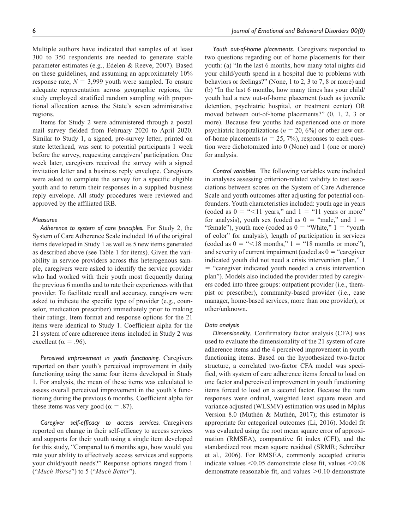Multiple authors have indicated that samples of at least 300 to 350 respondents are needed to generate stable parameter estimates (e.g., Edelen & Reeve, 2007). Based on these guidelines, and assuming an approximately 10% response rate,  $N = 3,999$  youth were sampled. To ensure adequate representation across geographic regions, the study employed stratified random sampling with proportional allocation across the State's seven administrative regions.

Items for Study 2 were administered through a postal mail survey fielded from February 2020 to April 2020. Similar to Study 1, a signed, pre-survey letter, printed on state letterhead, was sent to potential participants 1 week before the survey, requesting caregivers' participation. One week later, caregivers received the survey with a signed invitation letter and a business reply envelope. Caregivers were asked to complete the survey for a specific eligible youth and to return their responses in a supplied business reply envelope. All study procedures were reviewed and approved by the affiliated IRB.

#### *Measures*

*Adherence to system of care principles.* For Study 2, the System of Care Adherence Scale included 16 of the original items developed in Study 1 as well as 5 new items generated as described above (see Table 1 for items). Given the variability in service providers across this heterogenous sample, caregivers were asked to identify the service provider who had worked with their youth most frequently during the previous 6 months and to rate their experiences with that provider. To facilitate recall and accuracy, caregivers were asked to indicate the specific type of provider (e.g., counselor, medication prescriber) immediately prior to making their ratings. Item format and response options for the 21 items were identical to Study 1. Coefficient alpha for the 21 system of care adherence items included in Study 2 was excellent ( $\alpha$  = .96).

*Perceived improvement in youth functioning.* Caregivers reported on their youth's perceived improvement in daily functioning using the same four items developed in Study 1. For analysis, the mean of these items was calculated to assess overall perceived improvement in the youth's functioning during the previous 6 months. Coefficient alpha for these items was very good ( $\alpha = .87$ ).

*Caregiver self-efficacy to access services.* Caregivers reported on change in their self-efficacy to access services and supports for their youth using a single item developed for this study, "Compared to 6 months ago, how would you rate your ability to effectively access services and supports your child/youth needs?" Response options ranged from 1 ("*Much Worse*") to 5 ("*Much Better*").

*Youth out-of-home placements.* Caregivers responded to two questions regarding out of home placements for their youth: (a) "In the last 6 months, how many total nights did your child/youth spend in a hospital due to problems with behaviors or feelings?" (None, 1 to 2, 3 to 7, 8 or more) and (b) "In the last 6 months, how many times has your child/ youth had a new out-of-home placement (such as juvenile detention, psychiatric hospital, or treatment center) OR moved between out-of-home placements?" (0, 1, 2, 3 or more). Because few youths had experienced one or more psychiatric hospitalizations ( $n = 20, 6\%$ ) or other new outof-home placements ( $n = 25, 7\%$ ), responses to each question were dichotomized into 0 (None) and 1 (one or more) for analysis.

*Control variables.* The following variables were included in analyses assessing criterion-related validity to test associations between scores on the System of Care Adherence Scale and youth outcomes after adjusting for potential confounders. Youth characteristics included: youth age in years (coded as  $0 = \frac{11}{1}$  years," and  $1 = \frac{11}{11}$  years or more" for analysis), youth sex (coded as  $0 =$  "male," and  $1 =$ "female"), youth race (coded as  $0 =$  "White,"  $1 =$  "youth" of color" for analysis), length of participation in services (coded as  $0 = \frac{1}{5}$  = "18 months," 1 = "18 months or more"), and severity of current impairment (coded as  $0 =$  "caregiver" indicated youth did not need a crisis intervention plan," 1 = "caregiver indicated youth needed a crisis intervention plan"). Models also included the provider rated by caregivers coded into three groups: outpatient provider (i.e., therapist or prescriber), community-based provider (i.e., case manager, home-based services, more than one provider), or other/unknown.

#### *Data analysis*

*Dimensionality.* Confirmatory factor analysis (CFA) was used to evaluate the dimensionality of the 21 system of care adherence items and the 4 perceived improvement in youth functioning items. Based on the hypothesized two-factor structure, a correlated two-factor CFA model was specified, with system of care adherence items forced to load on one factor and perceived improvement in youth functioning items forced to load on a second factor. Because the item responses were ordinal, weighted least square mean and variance adjusted (WLSMV) estimation was used in Mplus Version 8.0 (Muthén & Muthén, 2017); this estimator is appropriate for categorical outcomes (Li, 2016). Model fit was evaluated using the root mean square error of approximation (RMSEA), comparative fit index (CFI), and the standardized root mean square residual (SRMR; Schreiber et al., 2006). For RMSEA, commonly accepted criteria indicate values <0.05 demonstrate close fit, values <0.08 demonstrate reasonable fit, and values >0.10 demonstrate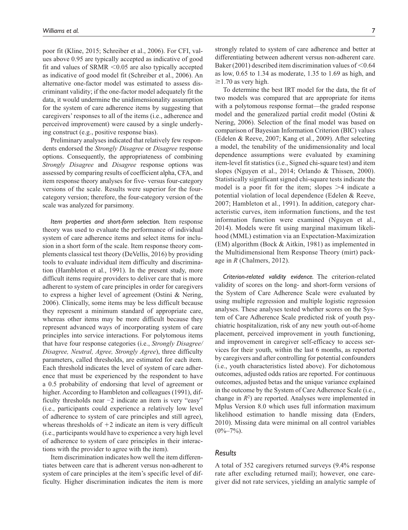poor fit (Kline, 2015; Schreiber et al., 2006). For CFI, values above 0.95 are typically accepted as indicative of good fit and values of SRMR  $\leq$ 0.05 are also typically accepted as indicative of good model fit (Schreiber et al., 2006). An alternative one-factor model was estimated to assess discriminant validity; if the one-factor model adequately fit the data, it would undermine the unidimensionality assumption for the system of care adherence items by suggesting that caregivers' responses to all of the items (i.e., adherence and perceived improvement) were caused by a single underlying construct (e.g., positive response bias).

Preliminary analyses indicated that relatively few respondents endorsed the *Strongly Disagree* or *Disagree* response options. Consequently, the appropriateness of combining *Strongly Disagree* and *Disagree* response options was assessed by comparing results of coefficient alpha, CFA, and item response theory analyses for five- versus four-category versions of the scale. Results were superior for the fourcategory version; therefore, the four-category version of the scale was analyzed for parsimony.

*Item properties and short-form selection.* Item response theory was used to evaluate the performance of individual system of care adherence items and select items for inclusion in a short form of the scale. Item response theory complements classical test theory (DeVellis, 2016) by providing tools to evaluate individual item difficulty and discrimination (Hambleton et al., 1991). In the present study, more difficult items require providers to deliver care that is more adherent to system of care principles in order for caregivers to express a higher level of agreement (Ostini & Nering, 2006). Clinically, some items may be less difficult because they represent a minimum standard of appropriate care, whereas other items may be more difficult because they represent advanced ways of incorporating system of care principles into service interactions. For polytomous items that have four response categories (i.e., *Strongly Disagree/ Disagree, Neutral, Agree, Strongly Agree*), three difficulty parameters, called thresholds, are estimated for each item. Each threshold indicates the level of system of care adherence that must be experienced by the respondent to have a 0.5 probability of endorsing that level of agreement or higher. According to Hambleton and colleagues (1991), difficulty thresholds near −2 indicate an item is very "easy" (i.e., participants could experience a relatively low level of adherence to system of care principles and still agree), whereas thresholds of  $+2$  indicate an item is very difficult (i.e., participants would have to experience a very high level of adherence to system of care principles in their interactions with the provider to agree with the item).

Item discrimination indicates how well the item differentiates between care that is adherent versus non-adherent to system of care principles at the item's specific level of difficulty. Higher discrimination indicates the item is more strongly related to system of care adherence and better at differentiating between adherent versus non-adherent care. Baker (2001) described item discrimination values of  $\leq 0.64$ as low, 0.65 to 1.34 as moderate, 1.35 to 1.69 as high, and  $\geq$ 1.70 as very high.

To determine the best IRT model for the data, the fit of two models was compared that are appropriate for items with a polytomous response format—the graded response model and the generalized partial credit model (Ostini & Nering, 2006). Selection of the final model was based on comparison of Bayesian Information Criterion (BIC) values (Edelen & Reeve, 2007; Kang et al., 2009). After selecting a model, the tenability of the unidimensionality and local dependence assumptions were evaluated by examining item-level fit statistics (i.e., Signed chi-square test) and item slopes (Nguyen et al., 2014; Orlando & Thissen, 2000). Statistically significant signed chi-square tests indicate the model is a poor fit for the item; slopes >4 indicate a potential violation of local dependence (Edelen & Reeve, 2007; Hambleton et al., 1991). In addition, category characteristic curves, item information functions, and the test information function were examined (Nguyen et al., 2014). Models were fit using marginal maximum likelihood (MML) estimation via an Expectation-Maximization (EM) algorithm (Bock & Aitkin, 1981) as implemented in the Multidimensional Item Response Theory (mirt) package in *R* (Chalmers, 2012).

*Criterion-related validity evidence.* The criterion-related validity of scores on the long- and short-form versions of the System of Care Adherence Scale were evaluated by using multiple regression and multiple logistic regression analyses. These analyses tested whether scores on the System of Care Adherence Scale predicted risk of youth psychiatric hospitalization, risk of any new youth out-of-home placement, perceived improvement in youth functioning, and improvement in caregiver self-efficacy to access services for their youth, within the last 6 months, as reported by caregivers and after controlling for potential confounders (i.e., youth characteristics listed above). For dichotomous outcomes, adjusted odds ratios are reported. For continuous outcomes, adjusted betas and the unique variance explained in the outcome by the System of Care Adherence Scale (i.e., change in  $R^2$ ) are reported. Analyses were implemented in Mplus Version 8.0 which uses full information maximum likelihood estimation to handle missing data (Enders, 2010). Missing data were minimal on all control variables  $(0\% - 7\%)$ .

## *Results*

A total of 352 caregivers returned surveys (9.4% response rate after excluding returned mail); however, one caregiver did not rate services, yielding an analytic sample of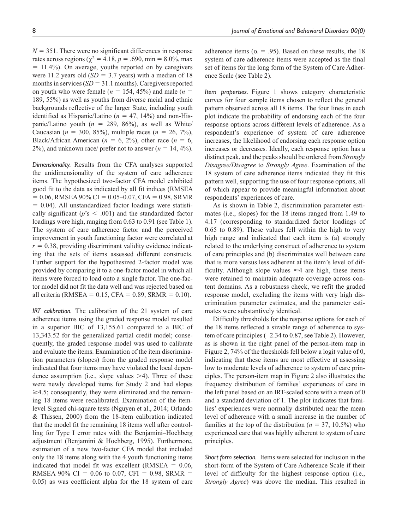$N = 351$ . There were no significant differences in response rates across regions ( $\chi^2 = 4.18$ ,  $p = .690$ , min = 8.0%, max = 11.4%). On average, youths reported on by caregivers were 11.2 years old  $(SD = 3.7$  years) with a median of 18 months in services  $(SD = 31.1 \text{ months})$ . Caregivers reported on youth who were female ( $n = 154, 45\%$ ) and male ( $n =$ 189, 55%) as well as youths from diverse racial and ethnic backgrounds reflective of the larger State, including youth identified as Hispanic/Latino  $(n = 47, 14\%)$  and non-Hispanic/Latino youth  $(n = 289, 86\%)$ , as well as White/ Caucasian ( $n = 300, 85\%$ ), multiple races ( $n = 26, 7\%$ ), Black/African American ( $n = 6, 2\%$ ), other race ( $n = 6$ , 2%), and unknown race/ prefer not to answer  $(n = 14, 4\%)$ .

*Dimensionality.* Results from the CFA analyses supported the unidimensionality of the system of care adherence items. The hypothesized two-factor CFA model exhibited good fit to the data as indicated by all fit indices (RMSEA  $= 0.06$ , RMSEA 90% CI = 0.05–0.07, CFA = 0.98, SRMR  $= 0.04$ ). All unstandardized factor loadings were statistically significant ( $p$ 's  $\leq$  .001) and the standardized factor loadings were high, ranging from 0.63 to 0.91 (see Table 1). The system of care adherence factor and the perceived improvement in youth functioning factor were correlated at  $r = 0.38$ , providing discriminant validity evidence indicating that the sets of items assessed different constructs. Further support for the hypothesized 2-factor model was provided by comparing it to a one-factor model in which all items were forced to load onto a single factor. The one-factor model did not fit the data well and was rejected based on all criteria (RMSEA =  $0.15$ , CFA =  $0.89$ , SRMR =  $0.10$ ).

*IRT calibration.* The calibration of the 21 system of care adherence items using the graded response model resulted in a superior BIC of 13,155.61 compared to a BIC of 13,343.52 for the generalized partial credit model; consequently, the graded response model was used to calibrate and evaluate the items. Examination of the item discrimination parameters (slopes) from the graded response model indicated that four items may have violated the local dependence assumption (i.e., slope values  $>4$ ). Three of these were newly developed items for Study 2 and had slopes ≥4.5; consequently, they were eliminated and the remaining 18 items were recalibrated. Examination of the itemlevel Signed chi-square tests (Nguyen et al., 2014; Orlando & Thissen, 2000) from the 18-item calibration indicated that the model fit the remaining 18 items well after controlling for Type I error rates with the Benjamini–Hochberg adjustment (Benjamini & Hochberg, 1995). Furthermore, estimation of a new two-factor CFA model that included only the 18 items along with the 4 youth functioning items indicated that model fit was excellent (RMSEA  $= 0.06$ , RMSEA 90% CI = 0.06 to 0.07, CFI = 0.98, SRMR = 0.05) as was coefficient alpha for the 18 system of care

adherence items ( $\alpha = .95$ ). Based on these results, the 18 system of care adherence items were accepted as the final set of items for the long form of the System of Care Adherence Scale (see Table 2).

*Item properties.* Figure 1 shows category characteristic curves for four sample items chosen to reflect the general pattern observed across all 18 items. The four lines in each plot indicate the probability of endorsing each of the four response options across different levels of adherence. As a respondent's experience of system of care adherence increases, the likelihood of endorsing each response option increases or decreases. Ideally, each response option has a distinct peak, and the peaks should be ordered from *Strongly Disagree/Disagree* to *Strongly Agree*. Examination of the 18 system of care adherence items indicated they fit this pattern well, supporting the use of four response options, all of which appear to provide meaningful information about respondents' experiences of care.

As is shown in Table 2, discrimination parameter estimates (i.e., slopes) for the 18 items ranged from 1.49 to 4.17 (corresponding to standardized factor loadings of 0.65 to 0.89). These values fell within the high to very high range and indicated that each item is (a) strongly related to the underlying construct of adherence to system of care principles and (b) discriminates well between care that is more versus less adherent at the item's level of difficulty. Although slope values  $\approx$ 4 are high, these items were retained to maintain adequate coverage across content domains. As a robustness check, we refit the graded response model, excluding the items with very high discrimination parameter estimates, and the parameter estimates were substantively identical.

Difficulty thresholds for the response options for each of the 18 items reflected a sizable range of adherence to system of care principles (−2.34 to 0.87, see Table 2). However, as is shown in the right panel of the person-item map in Figure 2, 74% of the thresholds fell below a logit value of 0, indicating that these items are most effective at assessing low to moderate levels of adherence to system of care principles. The person-item map in Figure 2 also illustrates the frequency distribution of families' experiences of care in the left panel based on an IRT-scaled score with a mean of 0 and a standard deviation of 1. The plot indicates that families' experiences were normally distributed near the mean level of adherence with a small increase in the number of families at the top of the distribution ( $n = 37, 10.5\%$ ) who experienced care that was highly adherent to system of care principles.

*Short form selection.* Items were selected for inclusion in the short-form of the System of Care Adherence Scale if their level of difficulty for the highest response option (i.e., *Strongly Agree*) was above the median. This resulted in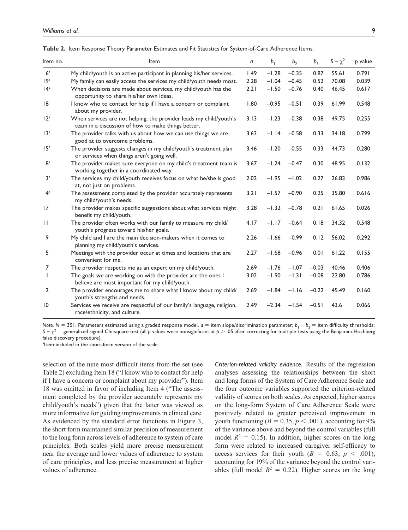| Item no.                          | Item                                                                                                                     | a    | b <sub>1</sub>     | b <sub>2</sub> | $b_3$        | $S - \chi^2$ | b value        |
|-----------------------------------|--------------------------------------------------------------------------------------------------------------------------|------|--------------------|----------------|--------------|--------------|----------------|
|                                   |                                                                                                                          |      |                    |                |              |              |                |
| 6 <sup>a</sup><br>19 <sup>a</sup> | My child/youth is an active participant in planning his/her services.                                                    | 1.49 | $-1.28$<br>$-1.04$ | $-0.35$        | 0.87<br>0.52 | 55.61        | 0.791<br>0.039 |
|                                   | My family can easily access the services my child/youth needs most.                                                      | 2.28 |                    | $-0.45$        |              | 70.08        |                |
| 14 <sup>a</sup>                   | When decisions are made about services, my child/youth has the<br>opportunity to share his/her own ideas.                | 2.21 | $-1.50$            | $-0.76$        | 0.40         | 46.45        | 0.617          |
| 8                                 | I know who to contact for help if I have a concern or complaint<br>about my provider.                                    | 1.80 | $-0.95$            | $-0.51$        | 0.39         | 61.99        | 0.548          |
| 12 <sup>a</sup>                   | When services are not helping, the provider leads my child/youth's<br>team in a discussion of how to make things better. | 3.13 | $-1.23$            | $-0.38$        | 0.38         | 49.75        | 0.255          |
| 13 <sup>a</sup>                   | The provider talks with us about how we can use things we are<br>good at to overcome problems.                           | 3.63 | $-1.14$            | $-0.58$        | 0.33         | 34.18        | 0.799          |
| 15 <sup>a</sup>                   | The provider suggests changes in my child/youth's treatment plan<br>or services when things aren't going well.           | 3.46 | $-1.20$            | $-0.55$        | 0.33         | 44.73        | 0.280          |
| 8 <sup>a</sup>                    | The provider makes sure everyone on my child's treatment team is<br>working together in a coordinated way.               | 3.67 | $-1.24$            | $-0.47$        | 0.30         | 48.95        | 0.132          |
| 3 <sup>a</sup>                    | The services my child/youth receives focus on what he/she is good<br>at, not just on problems.                           | 2.02 | $-1.95$            | $-1.02$        | 0.27         | 26.83        | 0.986          |
| 4 <sup>a</sup>                    | The assessment completed by the provider accurately represents<br>my child/youth's needs.                                | 3.21 | $-1.57$            | $-0.90$        | 0.25         | 35.80        | 0.616          |
| 17                                | The provider makes specific suggestions about what services might<br>benefit my child/youth.                             | 3.28 | $-1.32$            | $-0.78$        | 0.21         | 61.65        | 0.026          |
| $\mathbf{H}$                      | The provider often works with our family to measure my child/<br>youth's progress toward his/her goals.                  | 4.17 | $-1.17$            | $-0.64$        | 0.18         | 34.32        | 0.548          |
| 9                                 | My child and I are the main decision-makers when it comes to<br>planning my child/youth's services.                      | 2.26 | $-1.66$            | $-0.99$        | 0.12         | 56.02        | 0.292          |
| 5                                 | Meetings with the provider occur at times and locations that are<br>convenient for me.                                   | 2.27 | $-1.68$            | $-0.96$        | 0.01         | 61.22        | 0.155          |
| 7                                 | The provider respects me as an expert on my child/youth.                                                                 | 2.69 | $-1.76$            | $-1.07$        | $-0.03$      | 40.46        | 0.406          |
| $\mathbf{I}$                      | The goals we are working on with the provider are the ones I<br>believe are most important for my child/youth.           | 3.02 | $-1.90$            | $-1.31$        | $-0.08$      | 22.80        | 0.786          |
| $\overline{2}$                    | The provider encourages me to share what I know about my child/<br>youth's strengths and needs.                          | 2.69 | $-1.84$            | $-1.16$        | $-0.22$      | 45.49        | 0.160          |
| 10                                | Services we receive are respectful of our family's language, religion,<br>race/ethnicity, and culture.                   | 2.49 | $-2.34$            | $-1.54$        | $-0.51$      | 43.6         | 0.066          |

**Table 2.** Item Response Theory Parameter Estimates and Fit Statistics for System-of-Care Adherence Items.

*Note.* N = 351. Parameters estimated using a graded response model. *a* = item slope/discrimination parameter; *b*<sub>1</sub> − *b*<sub>3</sub> = item difficulty thresholds; *S −* χ<sup>2</sup> = generalized signed Chi-square test (all *p* values were nonsignificant at *p* > .05 after correcting for multiple tests using the Benjamini-Hochberg false discovery procedure).

altem included in the short-form version of the scale.

selection of the nine most difficult items from the set (see Table 2) excluding Item 18 ("I know who to contact for help if I have a concern or complaint about my provider"). Item 18 was omitted in favor of including Item 4 ("The assessment completed by the provider accurately represents my child/youth's needs") given that the latter was viewed as more informative for guiding improvements in clinical care. As evidenced by the standard error functions in Figure 3, the short form maintained similar precision of measurement to the long form across levels of adherence to system of care principles. Both scales yield more precise measurement near the average and lower values of adherence to system of care principles, and less precise measurement at higher values of adherence.

*Criterion-related validity evidence.* Results of the regression analyses assessing the relationships between the short and long forms of the System of Care Adherence Scale and the four outcome variables supported the criterion-related validity of scores on both scales. As expected, higher scores on the long-form System of Care Adherence Scale were positively related to greater perceived improvement in youth functioning ( $B = 0.35$ ,  $p < .001$ ), accounting for 9% of the variance above and beyond the control variables (full model  $R^2 = 0.15$ ). In addition, higher scores on the long form were related to increased caregiver self-efficacy to access services for their youth  $(B = 0.63, p < .001)$ , accounting for 19% of the variance beyond the control variables (full model  $R^2 = 0.22$ ). Higher scores on the long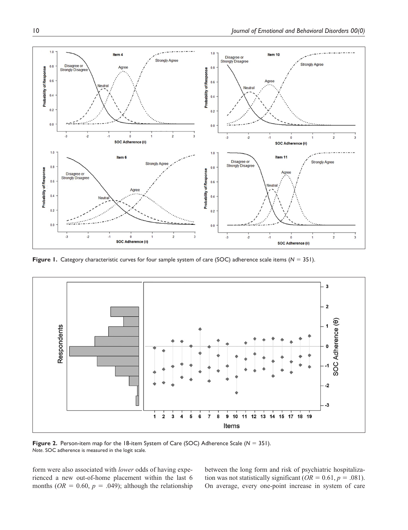

**Figure 1.** Category characteristic curves for four sample system of care (SOC) adherence scale items (*N* = 351).



**Figure 2.** Person-item map for the 18-item System of Care (SOC) Adherence Scale ( $N = 351$ ). *Note*. SOC adherence is measured in the logit scale.

form were also associated with *lower* odds of having experienced a new out-of-home placement within the last 6 months ( $OR = 0.60$ ,  $p = .049$ ); although the relationship between the long form and risk of psychiatric hospitalization was not statistically significant ( $OR = 0.61, p = .081$ ). On average, every one-point increase in system of care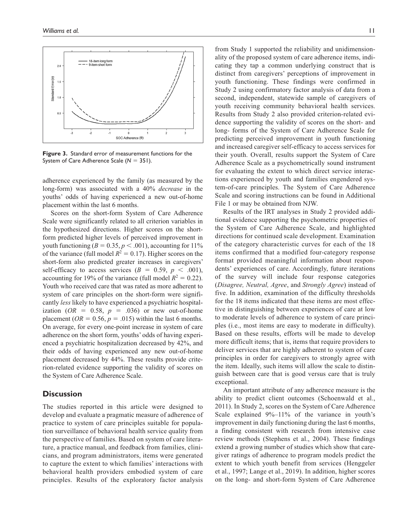

**Figure 3.** Standard error of measurement functions for the System of Care Adherence Scale (*N* = 351).

adherence experienced by the family (as measured by the long-form) was associated with a 40% *decrease* in the youths' odds of having experienced a new out-of-home placement within the last 6 months.

Scores on the short-form System of Care Adherence Scale were significantly related to all criterion variables in the hypothesized directions. Higher scores on the shortform predicted higher levels of perceived improvement in youth functioning ( $B = 0.35$ ,  $p < .001$ ), accounting for 11% of the variance (full model  $R^2 = 0.17$ ). Higher scores on the short-form also predicted greater increases in caregivers' self-efficacy to access services  $(B = 0.59, p < .001)$ , accounting for 19% of the variance (full model  $R^2 = 0.22$ ). Youth who received care that was rated as more adherent to system of care principles on the short-form were significantly *less* likely to have experienced a psychiatric hospitalization ( $OR = 0.58$ ,  $p = .036$ ) or new out-of-home placement ( $OR = 0.56$ ,  $p = .015$ ) within the last 6 months. On average, for every one-point increase in system of care adherence on the short form, youths' odds of having experienced a psychiatric hospitalization decreased by 42%, and their odds of having experienced any new out-of-home placement decreased by 44%. These results provide criterion-related evidence supporting the validity of scores on the System of Care Adherence Scale.

## **Discussion**

The studies reported in this article were designed to develop and evaluate a pragmatic measure of adherence of practice to system of care principles suitable for population surveillance of behavioral health service quality from the perspective of families. Based on system of care literature, a practice manual, and feedback from families, clinicians, and program administrators, items were generated to capture the extent to which families' interactions with behavioral health providers embodied system of care principles. Results of the exploratory factor analysis from Study 1 supported the reliability and unidimensionality of the proposed system of care adherence items, indicating they tap a common underlying construct that is distinct from caregivers' perceptions of improvement in youth functioning. These findings were confirmed in Study 2 using confirmatory factor analysis of data from a second, independent, statewide sample of caregivers of youth receiving community behavioral health services. Results from Study 2 also provided criterion-related evidence supporting the validity of scores on the short- and long- forms of the System of Care Adherence Scale for predicting perceived improvement in youth functioning and increased caregiver self-efficacy to access services for their youth. Overall, results support the System of Care Adherence Scale as a psychometrically sound instrument for evaluating the extent to which direct service interactions experienced by youth and families engendered system-of-care principles. The System of Care Adherence Scale and scoring instructions can be found in Additional File 1 or may be obtained from NJW.

Results of the IRT analyses in Study 2 provided additional evidence supporting the psychometric properties of the System of Care Adherence Scale, and highlighted directions for continued scale development. Examination of the category characteristic curves for each of the 18 items confirmed that a modified four-category response format provided meaningful information about respondents' experiences of care. Accordingly, future iterations of the survey will include four response categories (*Disagree, Neutral, Agree*, and *Strongly Agree*) instead of five. In addition, examination of the difficulty thresholds for the 18 items indicated that these items are most effective in distinguishing between experiences of care at low to moderate levels of adherence to system of care principles (i.e., most items are easy to moderate in difficulty). Based on these results, efforts will be made to develop more difficult items; that is, items that require providers to deliver services that are highly adherent to system of care principles in order for caregivers to strongly agree with the item. Ideally, such items will allow the scale to distinguish between care that is good versus care that is truly exceptional.

An important attribute of any adherence measure is the ability to predict client outcomes (Schoenwald et al., 2011). In Study 2, scores on the System of Care Adherence Scale explained 9%–11% of the variance in youth's improvement in daily functioning during the last 6 months, a finding consistent with research from intensive case review methods (Stephens et al., 2004). These findings extend a growing number of studies which show that caregiver ratings of adherence to program models predict the extent to which youth benefit from services (Henggeler et al., 1997; Lange et al., 2019). In addition, higher scores on the long- and short-form System of Care Adherence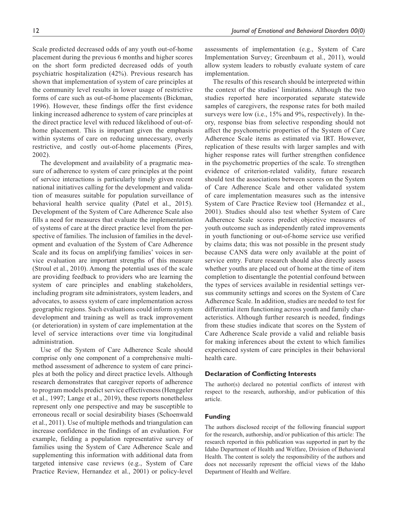Scale predicted decreased odds of any youth out-of-home placement during the previous 6 months and higher scores on the short form predicted decreased odds of youth psychiatric hospitalization (42%). Previous research has shown that implementation of system of care principles at the community level results in lower usage of restrictive forms of care such as out-of-home placements (Bickman, 1996). However, these findings offer the first evidence linking increased adherence to system of care principles at the direct practice level with reduced likelihood of out-ofhome placement. This is important given the emphasis within systems of care on reducing unnecessary, overly restrictive, and costly out-of-home placements (Pires, 2002).

The development and availability of a pragmatic measure of adherence to system of care principles at the point of service interactions is particularly timely given recent national initiatives calling for the development and validation of measures suitable for population surveillance of behavioral health service quality (Patel et al., 2015). Development of the System of Care Adherence Scale also fills a need for measures that evaluate the implementation of systems of care at the direct practice level from the perspective of families. The inclusion of families in the development and evaluation of the System of Care Adherence Scale and its focus on amplifying families' voices in service evaluation are important strengths of this measure (Stroul et al., 2010). Among the potential uses of the scale are providing feedback to providers who are learning the system of care principles and enabling stakeholders, including program site administrators, system leaders, and advocates, to assess system of care implementation across geographic regions. Such evaluations could inform system development and training as well as track improvement (or deterioration) in system of care implementation at the level of service interactions over time via longitudinal administration.

Use of the System of Care Adherence Scale should comprise only one component of a comprehensive multimethod assessment of adherence to system of care principles at both the policy and direct practice levels. Although research demonstrates that caregiver reports of adherence to program models predict service effectiveness (Henggeler et al., 1997; Lange et al., 2019), these reports nonetheless represent only one perspective and may be susceptible to erroneous recall or social desirability biases (Schoenwald et al., 2011). Use of multiple methods and triangulation can increase confidence in the findings of an evaluation. For example, fielding a population representative survey of families using the System of Care Adherence Scale and supplementing this information with additional data from targeted intensive case reviews (e.g., System of Care Practice Review, Hernandez et al., 2001) or policy-level

assessments of implementation (e.g., System of Care Implementation Survey; Greenbaum et al., 2011), would allow system leaders to robustly evaluate system of care implementation.

The results of this research should be interpreted within the context of the studies' limitations. Although the two studies reported here incorporated separate statewide samples of caregivers, the response rates for both mailed surveys were low (i.e., 15% and 9%, respectively). In theory, response bias from selective responding should not affect the psychometric properties of the System of Care Adherence Scale items as estimated via IRT. However, replication of these results with larger samples and with higher response rates will further strengthen confidence in the psychometric properties of the scale. To strengthen evidence of criterion-related validity, future research should test the associations between scores on the System of Care Adherence Scale and other validated system of care implementation measures such as the intensive System of Care Practice Review tool (Hernandez et al., 2001). Studies should also test whether System of Care Adherence Scale scores predict objective measures of youth outcome such as independently rated improvements in youth functioning or out-of-home service use verified by claims data; this was not possible in the present study because CANS data were only available at the point of service entry. Future research should also directly assess whether youths are placed out of home at the time of item completion to disentangle the potential confound between the types of services available in residential settings versus community settings and scores on the System of Care Adherence Scale. In addition, studies are needed to test for differential item functioning across youth and family characteristics. Although further research is needed, findings from these studies indicate that scores on the System of Care Adherence Scale provide a valid and reliable basis for making inferences about the extent to which families experienced system of care principles in their behavioral health care.

#### **Declaration of Conflicting Interests**

The author(s) declared no potential conflicts of interest with respect to the research, authorship, and/or publication of this article.

#### **Funding**

The authors disclosed receipt of the following financial support for the research, authorship, and/or publication of this article: The research reported in this publication was supported in part by the Idaho Department of Health and Welfare, Division of Behavioral Health. The content is solely the responsibility of the authors and does not necessarily represent the official views of the Idaho Department of Health and Welfare.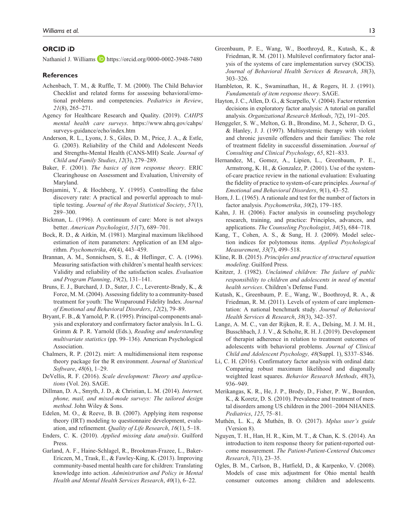## **ORCID iD**

Nathaniel J. Williams **D** <https://orcid.org/0000-0002-3948-7480>

#### **References**

- Achenbach, T. M., & Ruffle, T. M. (2000). The Child Behavior Checklist and related forms for assessing behavioral/emotional problems and competencies. *Pediatrics in Review*, *21*(8), 265–271.
- Agency for Healthcare Research and Quality. (2019). *CAHPS mental health care surveys*. [https://www.ahrq.gov/cahps/](https://www.ahrq.gov/cahps/surveys-guidance/echo/index.htm) [surveys-guidance/echo/index.htm](https://www.ahrq.gov/cahps/surveys-guidance/echo/index.htm)
- Anderson, R. L., Lyons, J. S., Giles, D. M., Price, J. A., & Estle, G. (2003). Reliability of the Child and Adolescent Needs and Strengths-Mental Health (CANS-MH) Scale. *Journal of Child and Family Studies*, *12*(3), 279–289.
- Baker, F. (2001). *The basics of item response theory*. ERIC Clearinghouse on Assessment and Evaluation, University of Maryland.
- Benjamini, Y., & Hochberg, Y. (1995). Controlling the false discovery rate: A practical and powerful approach to multiple testing. *Journal of the Royal Statistical Society*, *57*(1), 289–300.
- Bickman, L. (1996). A continuum of care: More is not always better. *American Psychologist*, *51*(7), 689–701.
- Bock, R. D., & Aitkin, M. (1981). Marginal maximum likelihood estimation of item parameters: Application of an EM algorithm. *Psychometrika*, *46*(4), 443–459.
- Brannan, A. M., Sonnichsen, S. E., & Heflinger, C. A. (1996). Measuring satisfaction with children's mental health services: Validity and reliability of the satisfaction scales. *Evaluation and Program Planning*, *19*(2), 131–141.
- Bruns, E. J., Burchard, J. D., Suter, J. C., Leverentz-Brady, K., & Force, M. M. (2004). Assessing fidelity to a community-based treatment for youth: The Wraparound Fidelity Index. *Journal of Emotional and Behavioral Disorders*, *12*(2), 79–89.
- Bryant, F. B., & Yarnold, P. R. (1995). Principal-components analysis and exploratory and confirmatory factor analysis. In L. G. Grimm & P. R. Yarnold (Eds.), *Reading and understanding multivariate statistics* (pp. 99–136). American Psychological Association.
- Chalmers, R. P. (2012). mirt: A multidimensional item response theory package for the R environment. *Journal of Statistical Software*, *48*(6), 1–29.
- DeVellis, R. F. (2016). *Scale development: Theory and applications* (Vol. 26). SAGE.
- Dillman, D. A., Smyth, J. D., & Christian, L. M. (2014). *Internet, phone, mail, and mixed-mode surveys: The tailored design method*. John Wiley & Sons.
- Edelen, M. O., & Reeve, B. B. (2007). Applying item response theory (IRT) modeling to questionnaire development, evaluation, and refinement. *Quality of Life Research*, *16*(1), 5–18.
- Enders, C. K. (2010). *Applied missing data analysis*. Guilford Press.
- Garland, A. F., Haine-Schlagel, R., Brookman-Frazee, L., Baker-Ericzen, M., Trask, E., & Fawley-King, K. (2013). Improving community-based mental health care for children: Translating knowledge into action. *Administration and Policy in Mental Health and Mental Health Services Research*, *40*(1), 6–22.
- Greenbaum, P. E., Wang, W., Boothroyd, R., Kutash, K., & Friedman, R. M. (2011). Multilevel confirmatory factor analysis of the systems of care implementation survey (SOCIS). *Journal of Behavioral Health Services & Research*, *38*(3), 303–326.
- Hambleton, R. K., Swaminathan, H., & Rogers, H. J. (1991). *Fundamentals of item response theory*. SAGE.
- Hayton, J. C., Allen, D. G., & Scarpello, V. (2004). Factor retention decisions in exploratory factor analysis: A tutorial on parallel analysis. *Organizational Research Methods*, *7*(2), 191–205.
- Henggeler, S. W., Melton, G. B., Brondino, M. J., Scherer, D. G., & Hanley, J. J. (1997). Multisystemic therapy with violent and chronic juvenile offenders and their families: The role of treatment fidelity in successful dissemination. *Journal of Consulting and Clinical Psychology*, *65*, 821–833.
- Hernandez, M., Gomez, A., Lipien, L., Greenbaum, P. E., Armstrong, K. H., & Gonzalez, P. (2001). Use of the systemof-care practice review in the national evaluation: Evaluating the fidelity of practice to system-of-care principles. *Journal of Emotional and Behavioral Disorders*, *9*(1), 43–52.
- Horn, J. L. (1965). A rationale and test for the number of factors in factor analysis. *Psychometrika*, *30*(2), 179–185.
- Kahn, J. H. (2006). Factor analysis in counseling psychology research, training, and practice: Principles, advances, and applications. *The Counseling Psychologist*, *34*(5), 684–718.
- Kang, T., Cohen, A. S., & Sung, H. J. (2009). Model selection indices for polytomous items. *Applied Psychological Measurement*, *33*(7), 499–518.
- Kline, R. B. (2015). *Principles and practice of structural equation modeling*. Guilford Press.
- Knitzer, J. (1982). *Unclaimed children: The failure of public responsibility to children and adolescents in need of mental health services*. Children's Defense Fund.
- Kutash, K., Greenbaum, P. E., Wang, W., Boothroyd, R. A., & Friedman, R. M. (2011). Levels of system of care implementation: A national benchmark study. *Journal of Behavioral Health Services & Research*, *38*(3), 342–357.
- Lange, A. M. C., van der Rijken, R. E. A., Delsing, M. J. M. H., Busschbach, J. J. V., & Scholte, R. H. J. (2019). Development of therapist adherence in relation to treatment outcomes of adolescents with behavioral problems. *Journal of Clinical Child and Adolescent Psychology, 48*(Suppl. 1), S337–S346.
- Li, C. H. (2016). Confirmatory factor analysis with ordinal data: Comparing robust maximum likelihood and diagonally weighted least squares. *Behavior Research Methods*, *48*(3), 936–949.
- Merikangas, K. R., He, J. P., Brody, D., Fisher, P. W., Bourdon, K., & Koretz, D. S. (2010). Prevalence and treatment of mental disorders among US children in the 2001–2004 NHANES. *Pediatrics*, *125*, 75–81.
- Muthén, L. K., & Muthén, B. O. (2017). *Mplus user's guide* (Version 8).
- Nguyen, T. H., Han, H. R., Kim, M. T., & Chan, K. S. (2014). An introduction to item response theory for patient-reported outcome measurement. *The Patient-Patient-Centered Outcomes Research*, *7*(1), 23–35.
- Ogles, B. M., Carlson, B., Hatfield, D., & Karpenko, V. (2008). Models of case mix adjustment for Ohio mental health consumer outcomes among children and adolescents.